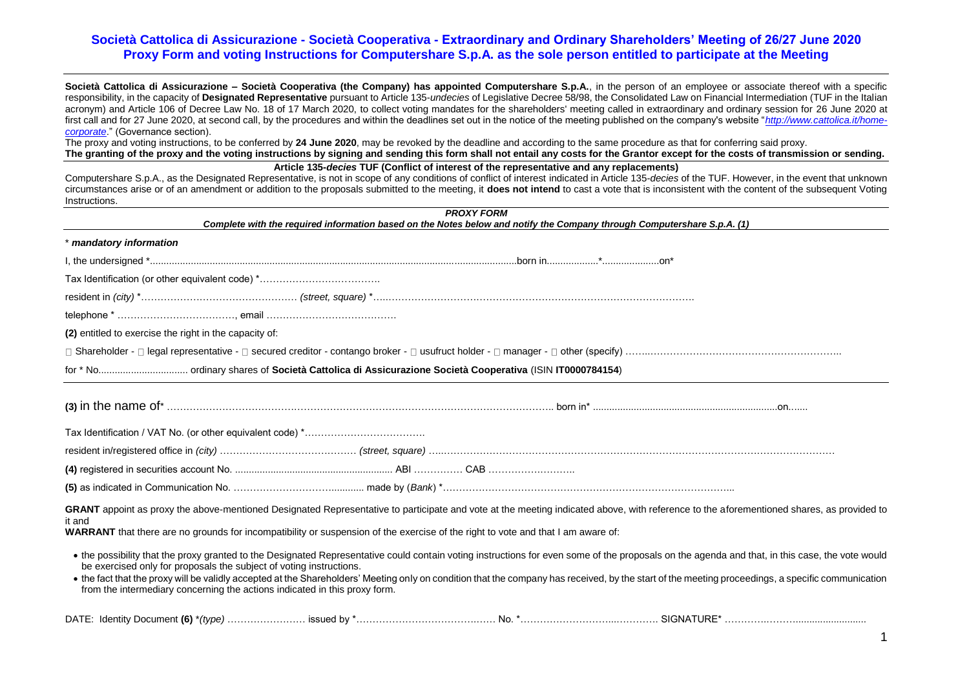**Società Cattolica di Assicurazione – Società Cooperativa (the Company) has appointed Computershare S.p.A.**, in the person of an employee or associate thereof with a specific responsibility, in the capacity of **Designated Representative** pursuant to Article 135-*undecies* of Legislative Decree 58/98, the Consolidated Law on Financial Intermediation (TUF in the Italian acronym) and Article 106 of Decree Law No. 18 of 17 March 2020, to collect voting mandates for the shareholders' meeting called in extraordinary and ordinary session for 26 June 2020 at first call and for 27 June 2020, at second call, by the procedures and within the deadlines set out in the notice of the meeting published on the company's website "*[http://www.cattolica.it/home](http://www.cattolica.it/home-corporate)[corporate](http://www.cattolica.it/home-corporate)*." (Governance section).

The proxy and voting instructions, to be conferred by **24 June 2020**, may be revoked by the deadline and according to the same procedure as that for conferring said proxy. **The granting of the proxy and the voting instructions by signing and sending this form shall not entail any costs for the Grantor except for the costs of transmission or sending.**

**Article 135-***decies* **TUF (Conflict of interest of the representative and any replacements)**

Computershare S.p.A., as the Designated Representative, is not in scope of any conditions of conflict of interest indicated in Article 135-*decies* of the TUF. However, in the event that unknown circumstances arise or of an amendment or addition to the proposals submitted to the meeting, it **does not intend** to cast a vote that is inconsistent with the content of the subsequent Voting Instructions.

| Complete with the required information based on the Notes below and notify the Company through Computershare S.p.A. (1)                                                                                                                                                                                                                                                                                                                                                                                                                                    | <b>PROXY FORM</b> |  |
|------------------------------------------------------------------------------------------------------------------------------------------------------------------------------------------------------------------------------------------------------------------------------------------------------------------------------------------------------------------------------------------------------------------------------------------------------------------------------------------------------------------------------------------------------------|-------------------|--|
| * mandatory information                                                                                                                                                                                                                                                                                                                                                                                                                                                                                                                                    |                   |  |
|                                                                                                                                                                                                                                                                                                                                                                                                                                                                                                                                                            |                   |  |
| Tax Identification (or other equivalent code) *                                                                                                                                                                                                                                                                                                                                                                                                                                                                                                            |                   |  |
|                                                                                                                                                                                                                                                                                                                                                                                                                                                                                                                                                            |                   |  |
|                                                                                                                                                                                                                                                                                                                                                                                                                                                                                                                                                            |                   |  |
| (2) entitled to exercise the right in the capacity of:                                                                                                                                                                                                                                                                                                                                                                                                                                                                                                     |                   |  |
|                                                                                                                                                                                                                                                                                                                                                                                                                                                                                                                                                            |                   |  |
|                                                                                                                                                                                                                                                                                                                                                                                                                                                                                                                                                            |                   |  |
|                                                                                                                                                                                                                                                                                                                                                                                                                                                                                                                                                            |                   |  |
|                                                                                                                                                                                                                                                                                                                                                                                                                                                                                                                                                            |                   |  |
|                                                                                                                                                                                                                                                                                                                                                                                                                                                                                                                                                            |                   |  |
|                                                                                                                                                                                                                                                                                                                                                                                                                                                                                                                                                            |                   |  |
|                                                                                                                                                                                                                                                                                                                                                                                                                                                                                                                                                            |                   |  |
| GRANT appoint as proxy the above-mentioned Designated Representative to participate and vote at the meeting indicated above, with reference to the aforementioned shares, as provided to<br>it and<br>WARRANT that there are no grounds for incompatibility or suspension of the exercise of the right to vote and that I am aware of:                                                                                                                                                                                                                     |                   |  |
| . the possibility that the proxy granted to the Designated Representative could contain voting instructions for even some of the proposals on the agenda and that, in this case, the vote would<br>be exercised only for proposals the subject of voting instructions.<br>• the fact that the proxy will be validly accepted at the Shareholders' Meeting only on condition that the company has received, by the start of the meeting proceedings, a specific communication<br>from the intermediary concerning the actions indicated in this proxy form. |                   |  |
|                                                                                                                                                                                                                                                                                                                                                                                                                                                                                                                                                            |                   |  |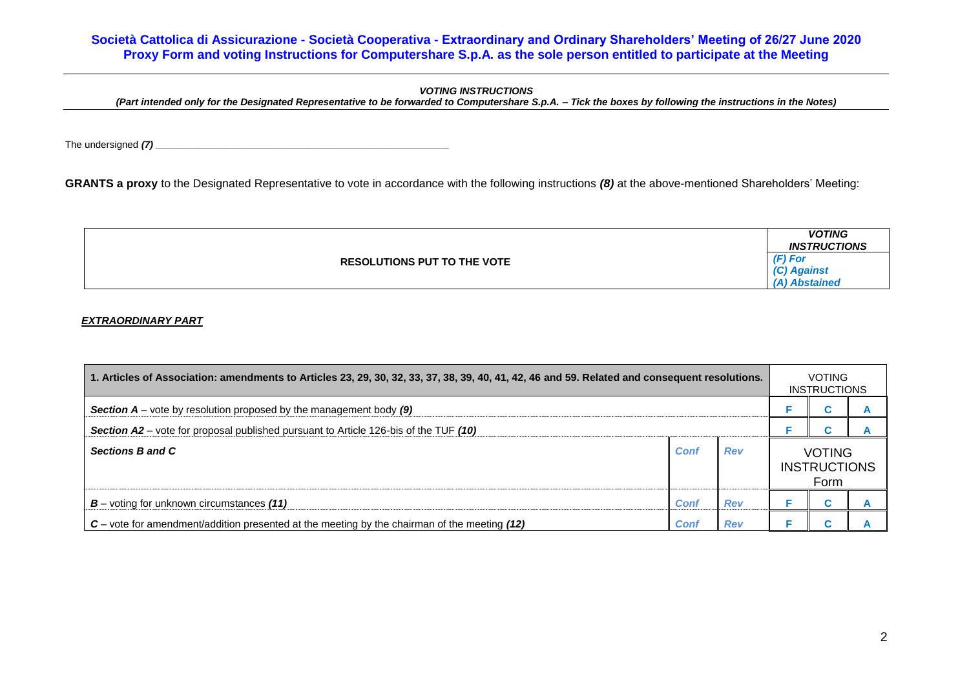## *VOTING INSTRUCTIONS*

*(Part intended only for the Designated Representative to be forwarded to Computershare S.p.A. – Tick the boxes by following the instructions in the Notes)*

The undersigned *(7) \_\_\_\_\_\_\_\_\_\_\_\_\_\_\_\_\_\_\_\_\_\_\_\_\_\_\_\_\_\_\_\_\_\_\_\_\_\_\_\_\_\_\_\_\_\_\_\_\_\_\_\_\_\_*

**GRANTS a proxy** to the Designated Representative to vote in accordance with the following instructions *(8)* at the above-mentioned Shareholders' Meeting:

|  |                                    | <b>VOTING</b><br><b>INSTRUCTIONS</b> |
|--|------------------------------------|--------------------------------------|
|  | <b>RESOLUTIONS PUT TO THE VOTE</b> | $(F)$ For                            |
|  |                                    | Against                              |
|  |                                    | DAbstained                           |

## *EXTRAORDINARY PART*

| 1. Articles of Association: amendments to Articles 23, 29, 30, 32, 33, 37, 38, 39, 40, 41, 42, 46 and 59. Related and consequent resolutions. |      |            |  |                                      | <b>VOTING</b><br><b>INSTRUCTIONS</b> |
|-----------------------------------------------------------------------------------------------------------------------------------------------|------|------------|--|--------------------------------------|--------------------------------------|
| <b>Section A</b> – vote by resolution proposed by the management body $(9)$                                                                   |      |            |  |                                      |                                      |
| Section A2 – vote for proposal published pursuant to Article 126-bis of the TUF (10)                                                          |      |            |  |                                      |                                      |
| Sections B and C                                                                                                                              | Conf | <b>Rev</b> |  | <b>VOTING</b><br><b>INSTRUCTIONS</b> |                                      |
| $B$ – voting for unknown circumstances (11)                                                                                                   | Conf | <b>Rev</b> |  |                                      |                                      |
| $C$ – vote for amendment/addition presented at the meeting by the chairman of the meeting $(12)$                                              | Conf | <b>Rev</b> |  |                                      |                                      |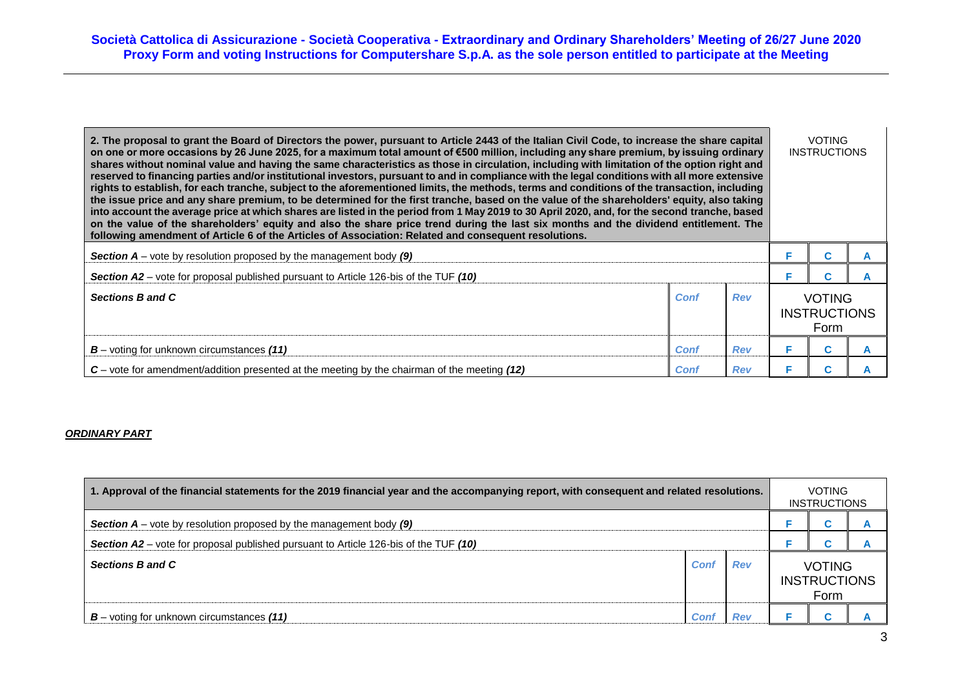| 2. The proposal to grant the Board of Directors the power, pursuant to Article 2443 of the Italian Civil Code, to increase the share capital<br>on one or more occasions by 26 June 2025, for a maximum total amount of €500 million, including any share premium, by issuing ordinary<br>shares without nominal value and having the same characteristics as those in circulation, including with limitation of the option right and<br>reserved to financing parties and/or institutional investors, pursuant to and in compliance with the legal conditions with all more extensive<br>rights to establish, for each tranche, subject to the aforementioned limits, the methods, terms and conditions of the transaction, including<br>the issue price and any share premium, to be determined for the first tranche, based on the value of the shareholders' equity, also taking<br>into account the average price at which shares are listed in the period from 1 May 2019 to 30 April 2020, and, for the second tranche, based<br>on the value of the shareholders' equity and also the share price trend during the last six months and the dividend entitlement. The<br>following amendment of Article 6 of the Articles of Association: Related and consequent resolutions. |      |            |  |                                      |  |  |
|--------------------------------------------------------------------------------------------------------------------------------------------------------------------------------------------------------------------------------------------------------------------------------------------------------------------------------------------------------------------------------------------------------------------------------------------------------------------------------------------------------------------------------------------------------------------------------------------------------------------------------------------------------------------------------------------------------------------------------------------------------------------------------------------------------------------------------------------------------------------------------------------------------------------------------------------------------------------------------------------------------------------------------------------------------------------------------------------------------------------------------------------------------------------------------------------------------------------------------------------------------------------------------------|------|------------|--|--------------------------------------|--|--|
| <b>Section A</b> – vote by resolution proposed by the management body $(9)$                                                                                                                                                                                                                                                                                                                                                                                                                                                                                                                                                                                                                                                                                                                                                                                                                                                                                                                                                                                                                                                                                                                                                                                                          |      |            |  |                                      |  |  |
| Section A2 – vote for proposal published pursuant to Article 126-bis of the TUF (10)                                                                                                                                                                                                                                                                                                                                                                                                                                                                                                                                                                                                                                                                                                                                                                                                                                                                                                                                                                                                                                                                                                                                                                                                 |      |            |  |                                      |  |  |
| Sections B and C                                                                                                                                                                                                                                                                                                                                                                                                                                                                                                                                                                                                                                                                                                                                                                                                                                                                                                                                                                                                                                                                                                                                                                                                                                                                     | Conf | <b>Rev</b> |  | <b>VOTING</b><br><b>INSTRUCTIONS</b> |  |  |
| $B$ – voting for unknown circumstances (11)                                                                                                                                                                                                                                                                                                                                                                                                                                                                                                                                                                                                                                                                                                                                                                                                                                                                                                                                                                                                                                                                                                                                                                                                                                          | Conf | <b>Rev</b> |  | C                                    |  |  |
| $C$ – vote for amendment/addition presented at the meeting by the chairman of the meeting $(12)$                                                                                                                                                                                                                                                                                                                                                                                                                                                                                                                                                                                                                                                                                                                                                                                                                                                                                                                                                                                                                                                                                                                                                                                     | Conf | <b>Rev</b> |  |                                      |  |  |

## *ORDINARY PART*

| 1. Approval of the financial statements for the 2019 financial year and the accompanying report, with consequent and related resolutions. |      |            |                     |               | <b>VOTING</b><br><b>INSTRUCTIONS</b> |
|-------------------------------------------------------------------------------------------------------------------------------------------|------|------------|---------------------|---------------|--------------------------------------|
| <b>Section A</b> – vote by resolution proposed by the management body $(9)$                                                               |      |            |                     |               |                                      |
| <b>Section A2</b> – vote for proposal published pursuant to Article 126-bis of the TUF (10)                                               |      |            |                     |               |                                      |
| Sections B and C                                                                                                                          | Conf | <b>Rev</b> | <b>INSTRUCTIONS</b> | <b>VOTING</b> |                                      |
| $B$ – voting for unknown circumstances (11)                                                                                               | Cont |            |                     |               |                                      |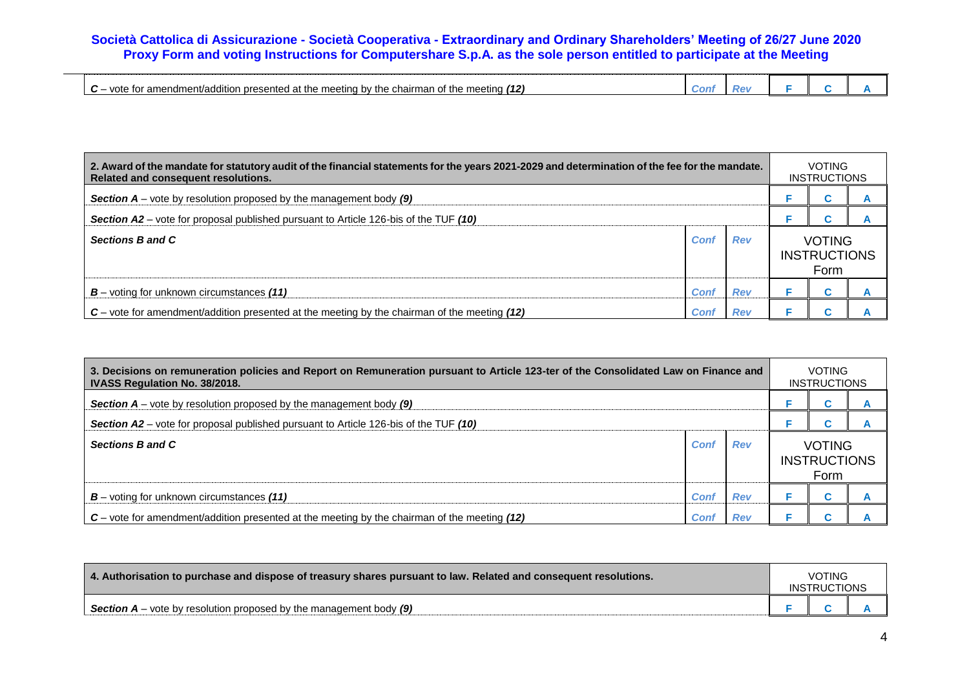|  | (12)<br>. chairman<br>' the<br>: meetina<br>$\cdot$ meeting by<br>vote .<br>of the<br>or amendment/addition<br>، presented ا<br>at :<br>the<br>. TOF<br>. | <b>CON</b> | 201 |  |  |  |
|--|-----------------------------------------------------------------------------------------------------------------------------------------------------------|------------|-----|--|--|--|
|--|-----------------------------------------------------------------------------------------------------------------------------------------------------------|------------|-----|--|--|--|

| 2. Award of the mandate for statutory audit of the financial statements for the years 2021-2029 and determination of the fee for the mandate.<br>Related and consequent resolutions. |      |            |                     | <b>VOTING</b><br><b>INSTRUCTIONS</b> |  |  |
|--------------------------------------------------------------------------------------------------------------------------------------------------------------------------------------|------|------------|---------------------|--------------------------------------|--|--|
| <b>Section A</b> – vote by resolution proposed by the management body $(9)$                                                                                                          |      |            |                     |                                      |  |  |
| Section A2 – vote for proposal published pursuant to Article 126-bis of the TUF (10)                                                                                                 |      |            |                     |                                      |  |  |
| Sections B and C                                                                                                                                                                     | Cont | Rev        | <b>INSTRUCTIONS</b> | <b>VOTING</b>                        |  |  |
| $B$ – voting for unknown circumstances (11)                                                                                                                                          | Conf | <b>Rev</b> |                     |                                      |  |  |
| $C$ – vote for amendment/addition presented at the meeting by the chairman of the meeting (12)                                                                                       | Conf | <b>Rev</b> |                     |                                      |  |  |

| 3. Decisions on remuneration policies and Report on Remuneration pursuant to Article 123-ter of the Consolidated Law on Finance and<br><b>IVASS Regulation No. 38/2018.</b> |      |            |                                              | <b>VOTING</b><br><b>INSTRUCTIONS</b> |  |
|-----------------------------------------------------------------------------------------------------------------------------------------------------------------------------|------|------------|----------------------------------------------|--------------------------------------|--|
| <b>Section A</b> – vote by resolution proposed by the management body (9)                                                                                                   |      |            |                                              |                                      |  |
| Section A2 – vote for proposal published pursuant to Article 126-bis of the TUF (10)                                                                                        |      |            |                                              |                                      |  |
| Sections B and C                                                                                                                                                            | Conf | <b>Rev</b> | <b>VOTING</b><br><b>INSTRUCTIONS</b><br>Form |                                      |  |
| $B$ – voting for unknown circumstances (11)                                                                                                                                 | Conf | <b>Rev</b> |                                              |                                      |  |
| $C$ – vote for amendment/addition presented at the meeting by the chairman of the meeting (12)                                                                              | Conf | <b>Rev</b> |                                              |                                      |  |

| 4. Authorisation to purchase and dispose of treasury shares pursuant to law. Related and consequent resolutions. |  |  |  |
|------------------------------------------------------------------------------------------------------------------|--|--|--|
| <b>Section A</b> – vote by resolution proposed by the management body $(9)$                                      |  |  |  |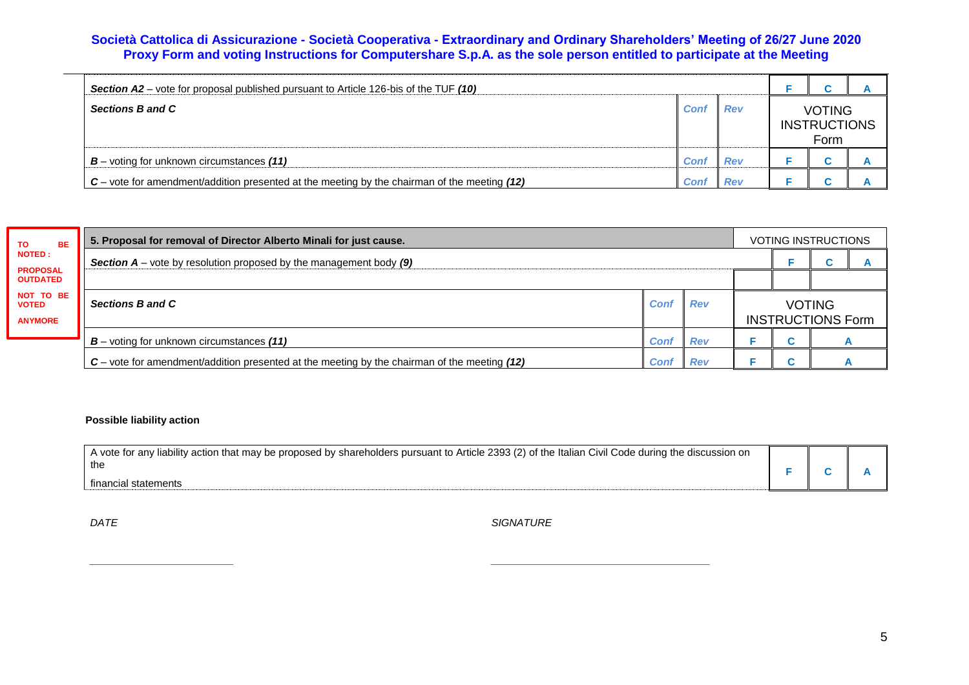| <b>Section A2</b> – vote for proposal published pursuant to Article 126-bis of the TUF (10)      |      |            |                                              |  |  |  |
|--------------------------------------------------------------------------------------------------|------|------------|----------------------------------------------|--|--|--|
| <b>Sections B and C</b>                                                                          | Con  | <b>Rev</b> | <b>VOTING</b><br><b>INSTRUCTIONS</b><br>Form |  |  |  |
| $B$ – voting for unknown circumstances (11)                                                      | Conf | <b>Rev</b> |                                              |  |  |  |
| $C$ – vote for amendment/addition presented at the meeting by the chairman of the meeting $(12)$ | Conf | <b>Rev</b> |                                              |  |  |  |

| <b>BE</b><br><b>TO</b>    | 5. Proposal for removal of Director Alberto Minali for just cause.                               |             |            |                          |  | <b>VOTING INSTRUCTIONS</b> |  |  |  |  |  |
|---------------------------|--------------------------------------------------------------------------------------------------|-------------|------------|--------------------------|--|----------------------------|--|--|--|--|--|
| <b>NOTED:</b>             | <b>Section A</b> – vote by resolution proposed by the management body $(9)$                      |             |            |                          |  |                            |  |  |  |  |  |
| <b>OUTDATED</b>           | <b>PROPOSAL</b>                                                                                  |             |            |                          |  |                            |  |  |  |  |  |
| NOT TO BE<br><b>VOTED</b> | Sections B and C                                                                                 | Conf        | <b>Rev</b> | <b>VOTING</b>            |  |                            |  |  |  |  |  |
| <b>ANYMORE</b>            |                                                                                                  |             |            | <b>INSTRUCTIONS Form</b> |  |                            |  |  |  |  |  |
|                           | $B$ – voting for unknown circumstances (11)                                                      | <b>Conf</b> | <b>Rev</b> |                          |  |                            |  |  |  |  |  |
|                           | $C$ – vote for amendment/addition presented at the meeting by the chairman of the meeting $(12)$ | Conf        | <b>Rev</b> |                          |  |                            |  |  |  |  |  |

*\_\_\_\_\_\_\_\_\_\_\_\_\_\_\_\_\_\_\_\_\_\_\_\_\_ \_\_\_\_\_\_\_\_\_\_\_\_\_\_\_\_\_\_\_\_\_\_\_\_\_\_\_\_\_\_\_\_\_\_\_\_\_\_*

## **Possible liability action**

| vote for any liability action that may be proposed by shareholders pursuant to Article 2393 (2) of the Italian Civil Code during the discussion on<br>the |  |  |
|-----------------------------------------------------------------------------------------------------------------------------------------------------------|--|--|
| tinancial<br>⊧statements                                                                                                                                  |  |  |

*DATE* SIGNATURE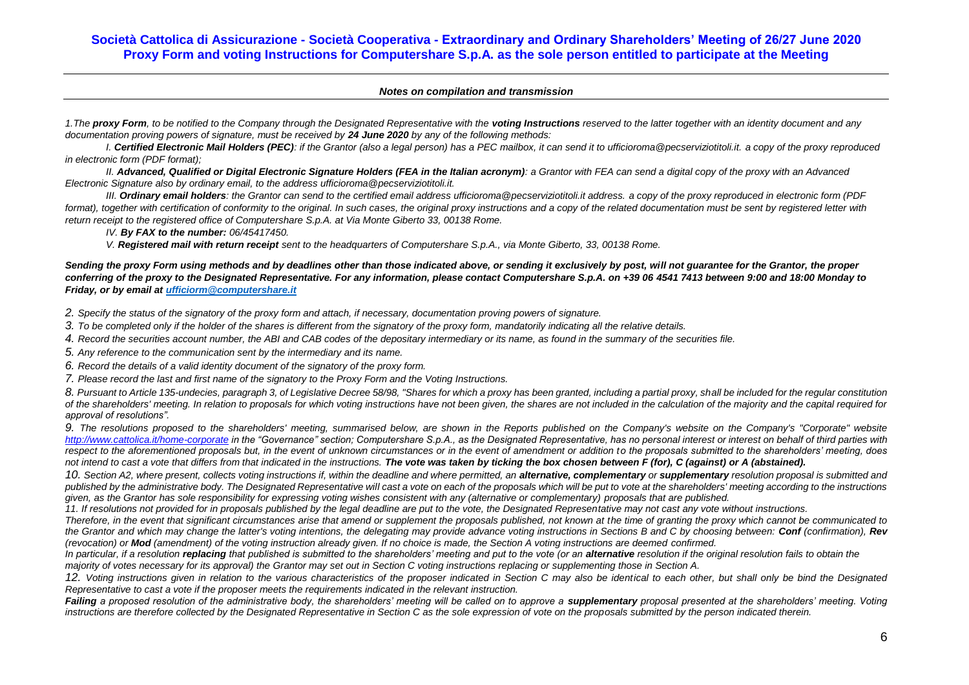### *Notes on compilation and transmission*

1. The **proxy Form**, to be notified to the Company through the Designated Representative with the **voting Instructions** reserved to the latter together with an identity document and any *documentation proving powers of signature, must be received by 24 June 2020 by any of the following methods:*

*I. Certified Electronic Mail Holders (PEC): if the Grantor (also a legal person) has a PEC mailbox, it can send it to ufficioroma@pecserviziotitoli.it. a copy of the proxy reproduced in electronic form (PDF format);*

*II. Advanced, Qualified or Digital Electronic Signature Holders (FEA in the Italian acronym): a Grantor with FEA can send a digital copy of the proxy with an Advanced Electronic Signature also by ordinary email, to the address ufficioroma@pecserviziotitoli.it.*

*III. Ordinary email holders: the Grantor can send to the certified email address ufficioroma@pecserviziotitoli.it address. a copy of the proxy reproduced in electronic form (PDF*  format), together with certification of conformity to the original. In such cases, the original proxy instructions and a copy of the related documentation must be sent by registered letter with *return receipt to the registered office of Computershare S.p.A. at Via Monte Giberto 33, 00138 Rome.*

*IV. By FAX to the number: 06/45417450.*

*V. Registered mail with return receipt sent to the headquarters of Computershare S.p.A., via Monte Giberto, 33, 00138 Rome.*

*Sending the proxy Form using methods and by deadlines other than those indicated above, or sending it exclusively by post, will not guarantee for the Grantor, the proper conferring of the proxy to the Designated Representative. For any information, please contact Computershare S.p.A. on +39 06 4541 7413 between 9:00 and 18:00 Monday to Friday, or by email at [ufficiorm@computershare.it](mailto:ufficiorm@computershare.it)*

*2. Specify the status of the signatory of the proxy form and attach, if necessary, documentation proving powers of signature.*

*3. To be completed only if the holder of the shares is different from the signatory of the proxy form, mandatorily indicating all the relative details.*

*4. Record the securities account number, the ABI and CAB codes of the depositary intermediary or its name, as found in the summary of the securities file.*

*5. Any reference to the communication sent by the intermediary and its name.*

*6. Record the details of a valid identity document of the signatory of the proxy form.*

*7. Please record the last and first name of the signatory to the Proxy Form and the Voting Instructions.*

*8. Pursuant to Article 135-undecies, paragraph 3, of Legislative Decree 58/98, "Shares for which a proxy has been granted, including a partial proxy, shall be included for the regular constitution of the shareholders' meeting. In relation to proposals for which voting instructions have not been given, the shares are not included in the calculation of the majority and the capital required for approval of resolutions".*

9. The resolutions proposed to the shareholders' meeting, summarised below, are shown in the Reports published on the Company's website on the Company's "Corporate" website *<http://www.cattolica.it/home-corporate> in the "Governance" section; Computershare S.p.A., as the Designated Representative, has no personal interest or interest on behalf of third parties with*  respect to the aforementioned proposals but, in the event of unknown circumstances or in the event of amendment or addition to the proposals submitted to the shareholders' meeting, does not intend to cast a vote that differs from that indicated in the instructions. The vote was taken by ticking the box chosen between F (for), C (against) or A (abstained).

10. Section A2, where present, collects voting instructions if, within the deadline and where permitted, an **alternative, complementary** or **supplementary** resolution proposal is submitted and published by the administrative body. The Designated Representative will cast a vote on each of the proposals which will be put to vote at the shareholders' meeting according to the instructions *given, as the Grantor has sole responsibility for expressing voting wishes consistent with any (alternative or complementary) proposals that are published.*

*11. If resolutions not provided for in proposals published by the legal deadline are put to the vote, the Designated Representative may not cast any vote without instructions.*

*Therefore, in the event that significant circumstances arise that amend or supplement the proposals published, not known at the time of granting the proxy which cannot be communicated to the Grantor and which may change the latter's voting intentions, the delegating may provide advance voting instructions in Sections B and C by choosing between: Conf (confirmation), Rev (revocation) or Mod (amendment) of the voting instruction already given. If no choice is made, the Section A voting instructions are deemed confirmed.*

In particular, if a resolution replacing that published is submitted to the shareholders' meeting and put to the vote (or an alternative resolution if the original resolution fails to obtain the *majority of votes necessary for its approval) the Grantor may set out in Section C voting instructions replacing or supplementing those in Section A.*

*12. Voting instructions given in relation to the various characteristics of the proposer indicated in Section C may also be identical to each other, but shall only be bind the Designated Representative to cast a vote if the proposer meets the requirements indicated in the relevant instruction.*

Failing a proposed resolution of the administrative body, the shareholders' meeting will be called on to approve a **supplementary** proposal presented at the shareholders' meeting. Voting *instructions are therefore collected by the Designated Representative in Section C as the sole expression of vote on the proposals submitted by the person indicated therein.*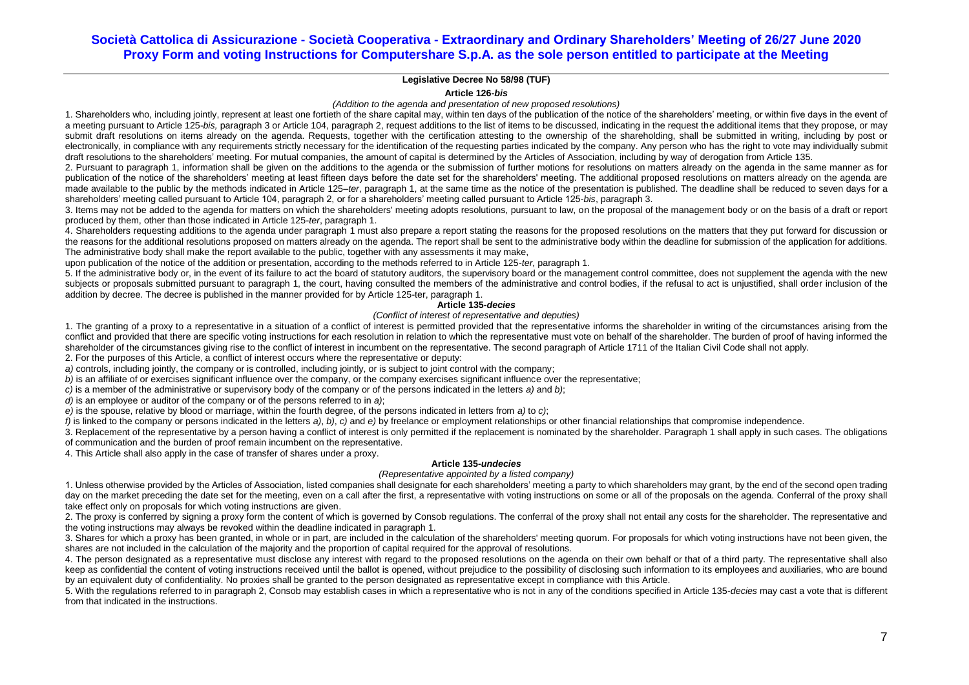## **Legislative Decree No 58/98 (TUF)**

**Article 126-***bis*

*(Addition to the agenda and presentation of new proposed resolutions)*

1. Shareholders who, including jointly, represent at least one fortieth of the share capital may, within ten days of the publication of the notice of the shareholders' meeting, or within five days in the event of a meeting pursuant to Article 125-*bis, paragraph* 3 or Article 104, paragraph 2, request additions to the list of items to be discussed, indicating in the request the additional items that they propose, or may submit draft resolutions on items already on the agenda. Requests, together with the certification attesting to the ownership of the shareholding, shall be submitted in writing, including by post or electronically, in compliance with any requirements strictly necessary for the identification of the requesting parties indicated by the company. Any person who has the right to yote may individually submit draft resolutions to the shareholders' meeting. For mutual companies, the amount of capital is determined by the Articles of Association, including by way of derogation from Article 135.

2. Pursuant to paragraph 1, information shall be given on the additions to the agenda or the submission of further motions for resolutions on matters already on the agenda in the same manner as for publication of the notice of the shareholders' meeting at least fifteen days before the date set for the shareholders' meeting. The additional proposed resolutions on matters already on the agenda are made available to the public by the methods indicated in Article 125–*ter*, paragraph 1, at the same time as the notice of the presentation is published. The deadline shall be reduced to seven days for a shareholders' meeting called pursuant to Article 104, paragraph 2, or for a shareholders' meeting called pursuant to Article 125-*bis*, paragraph 3.

3. Items may not be added to the agenda for matters on which the shareholders' meeting adopts resolutions, pursuant to law, on the proposal of the management body or on the basis of a draft or report produced by them, other than those indicated in Article 125-*ter*, paragraph 1.

4. Shareholders requesting additions to the agenda under paragraph 1 must also prepare a report stating the reasons for the proposed resolutions on the matters that they put forward for discussion or the reasons for the additional resolutions proposed on matters already on the agenda. The report shall be sent to the administrative body within the deadline for submission of the application for additions. The administrative body shall make the report available to the public, together with any assessments it may make,

upon publication of the notice of the addition or presentation, according to the methods referred to in Article 125-*ter,* paragraph 1.

5. If the administrative body or, in the event of its failure to act the board of statutory auditors, the supervisory board or the management control committee, does not supplement the agenda with the new subjects or proposals submitted pursuant to paragraph 1, the court, having consulted the members of the administrative and control bodies, if the refusal to act is unjustified, shall order inclusion of the addition by decree. The decree is published in the manner provided for by Article 125-ter, paragraph 1.

### **Article 135***-decies*

### *(Conflict of interest of representative and deputies)*

1. The granting of a proxy to a representative in a situation of a conflict of interest is permitted provided that the representative informs the shareholder in writing of the circumstances arising from the conflict and provided that there are specific voting instructions for each resolution in relation to which the representative must vote on behalf of the shareholder. The burden of proof of having informed the shareholder of the circumstances giving rise to the conflict of interest in incumbent on the representative. The second paragraph of Article 1711 of the Italian Civil Code shall not apply.

2. For the purposes of this Article, a conflict of interest occurs where the representative or deputy:

a) controls, including jointly, the company or is controlled, including jointly, or is subject to joint control with the company;

*b*) is an affiliate of or exercises significant influence over the company, or the company exercises significant influence over the representative;

*c)* is a member of the administrative or supervisory body of the company or of the persons indicated in the letters *a)* and *b)*;

*d)* is an employee or auditor of the company or of the persons referred to in *a)*;

*e)* is the spouse, relative by blood or marriage, within the fourth degree, of the persons indicated in letters from *a)* to *c)*;

*f)* is linked to the company or persons indicated in the letters *a)*, *b)*, *c)* and *e)* by freelance or employment relationships or other financial relationships that compromise independence.

3. Replacement of the representative by a person having a conflict of interest is only permitted if the replacement is nominated by the shareholder. Paragraph 1 shall apply in such cases. The obligations

of communication and the burden of proof remain incumbent on the representative.

4. This Article shall also apply in the case of transfer of shares under a proxy.

### **Article 135***-undecies*

## *(Representative appointed by a listed company)*

1. Unless otherwise provided by the Articles of Association, listed companies shall designate for each shareholders' meeting a party to which shareholders may grant, by the end of the second open trading day on the market preceding the date set for the meeting, even on a call after the first, a representative with voting instructions on some or all of the proposals on the agenda. Conferral of the proxy shall take effect only on proposals for which voting instructions are given.

2. The proxy is conferred by signing a proxy form the content of which is governed by Consob regulations. The conferral of the proxy shall not entail any costs for the shareholder. The representative and the voting instructions may always be revoked within the deadline indicated in paragraph 1.

3. Shares for which a proxy has been granted, in whole or in part, are included in the calculation of the shareholders' meeting quorum. For proposals for which voting instructions have not been given, the shares are not included in the calculation of the majority and the proportion of capital required for the approval of resolutions.

4. The person designated as a representative must disclose any interest with regard to the proposed resolutions on the agenda on their own behalf or that of a third party. The representative shall also keep as confidential the content of voting instructions received until the ballot is opened, without prejudice to the possibility of disclosing such information to its employees and auxiliaries, who are bound by an equivalent duty of confidentiality. No proxies shall be granted to the person designated as representative except in compliance with this Article.

5. With the regulations referred to in paragraph 2, Consob may establish cases in which a representative who is not in any of the conditions specified in Article 135-*decies* may cast a vote that is different from that indicated in the instructions.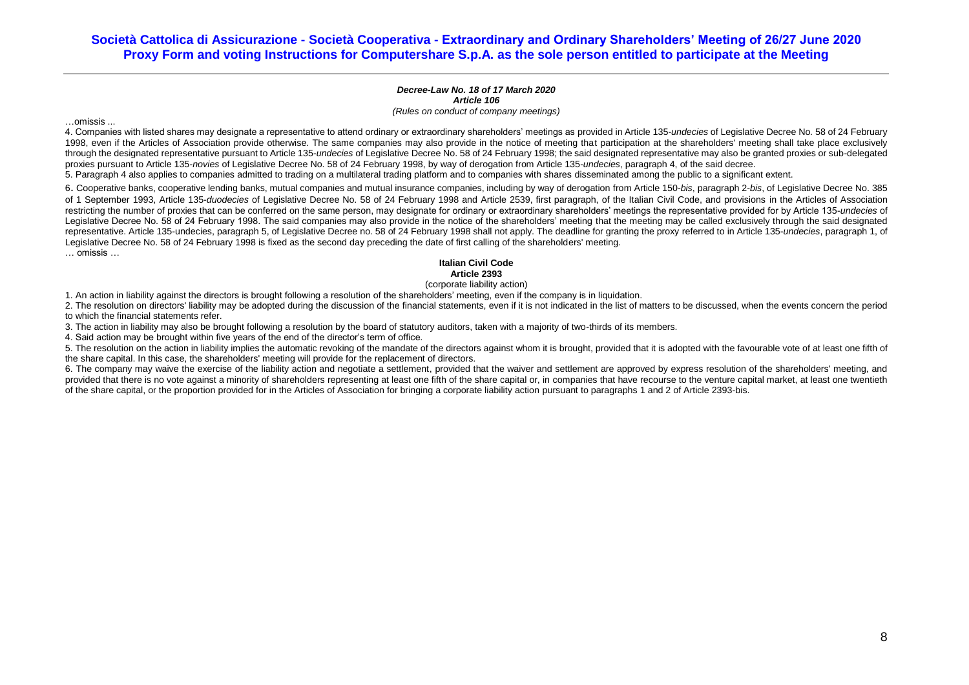#### *Decree-Law No. 18 of 17 March 2020 Article 106 (Rules on conduct of company meetings)*

…omissis ...

4. Companies with listed shares may designate a representative to attend ordinary or extraordinary shareholders' meetings as provided in Article 135-*undecies* of Legislative Decree No. 58 of 24 February 1998, even if the Articles of Association provide otherwise. The same companies may also provide in the notice of meeting that participation at the shareholders' meeting shall take place exclusively through the designated representative pursuant to Article 135-*undecies* of Legislative Decree No. 58 of 24 February 1998; the said designated representative may also be granted proxies or sub-delegated proxies pursuant to Article 135-*novies* of Legislative Decree No. 58 of 24 February 1998, by way of derogation from Article 135-*undecies*, paragraph 4, of the said decree.

5. Paragraph 4 also applies to companies admitted to trading on a multilateral trading platform and to companies with shares disseminated among the public to a significant extent.

6. Cooperative banks, cooperative lending banks, mutual companies and mutual insurance companies, including by way of derogation from Article 150-*bis*, paragraph 2-*bis*, of Legislative Decree No. 385 of 1 September 1993, Article 135-*duodecies* of Legislative Decree No. 58 of 24 February 1998 and Article 2539, first paragraph, of the Italian Civil Code, and provisions in the Articles of Association restricting the number of proxies that can be conferred on the same person, may designate for ordinary or extraordinary shareholders' meetings the representative provided for by Article 135-*undecies* of Legislative Decree No. 58 of 24 February 1998. The said companies may also provide in the notice of the shareholders' meeting that the meeting may be called exclusively through the said designated representative. Article 135-undecies, paragraph 5, of Legislative Decree no. 58 of 24 February 1998 shall not apply. The deadline for granting the proxy referred to in Article 135-*undecies*, paragraph 1, of Legislative Decree No. 58 of 24 February 1998 is fixed as the second day preceding the date of first calling of the shareholders' meeting.

… omissis …

### **Italian Civil Code Article 2393**

### (corporate liability action)

1. An action in liability against the directors is brought following a resolution of the shareholders' meeting, even if the company is in liquidation.

2. The resolution on directors' liability may be adopted during the discussion of the financial statements, even if it is not indicated in the list of matters to be discussed, when the events concern the period to which the financial statements refer.

3. The action in liability may also be brought following a resolution by the board of statutory auditors, taken with a majority of two-thirds of its members.

4. Said action may be brought within five years of the end of the director's term of office.

5. The resolution on the action in liability implies the automatic revoking of the mandate of the directors against whom it is brought, provided that it is adopted with the favourable vote of at least one fifth of the share capital. In this case, the shareholders' meeting will provide for the replacement of directors.

6. The company may waive the exercise of the liability action and negotiate a settlement, provided that the waiver and settlement are approved by express resolution of the shareholders' meeting, and provided that there is no vote against a minority of shareholders representing at least one fifth of the share capital or, in companies that have recourse to the venture capital market, at least one twentieth of the share capital, or the proportion provided for in the Articles of Association for bringing a corporate liability action pursuant to paragraphs 1 and 2 of Article 2393-bis.